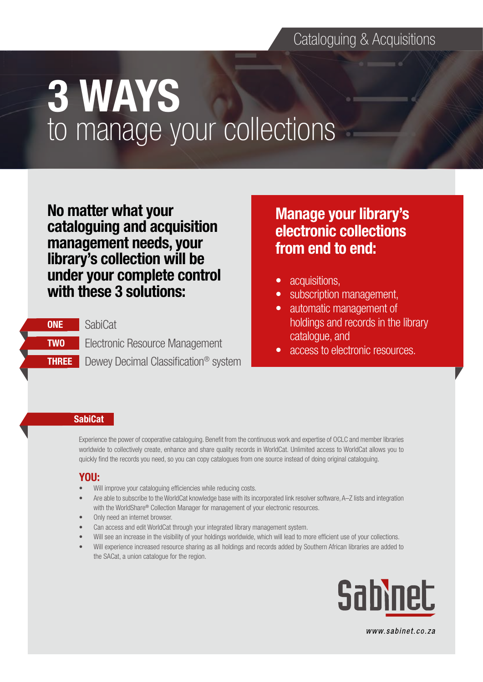# 3 WAYS to manage your collections

No matter what your cataloguing and acquisition management needs, your library's collection will be under your complete control with these 3 solutions:

### **ONE**

TWO

THREE

SabiCat

Electronic Resource Management Dewey Decimal Classification® system

## Manage your library's electronic collections from end to end:

- acquisitions,
- subscription management,
- automatic management of holdings and records in the library catalogue, and
- access to electronic resources.

#### **SabiCat**

Experience the power of cooperative cataloguing. Benefit from the continuous work and expertise of OCLC and member libraries worldwide to collectively create, enhance and share quality records in WorldCat. Unlimited access to WorldCat allows you to quickly find the records you need, so you can copy catalogues from one source instead of doing original cataloguing.

### YOU:

- Will improve your cataloguing efficiencies while reducing costs.
- Are able to subscribe to the WorldCat knowledge base with its incorporated link resolver software, A–Z lists and integration with the WorldShare<sup>®</sup> Collection Manager for management of your electronic resources.
- Only need an internet browser.
- Can access and edit WorldCat through your integrated library management system.
- Will see an increase in the visibility of your holdings worldwide, which will lead to more efficient use of your collections.
- Will experience increased resource sharing as all holdings and records added by Southern African libraries are added to the SACat, a union catalogue for the region.



www.sabinet.co.za